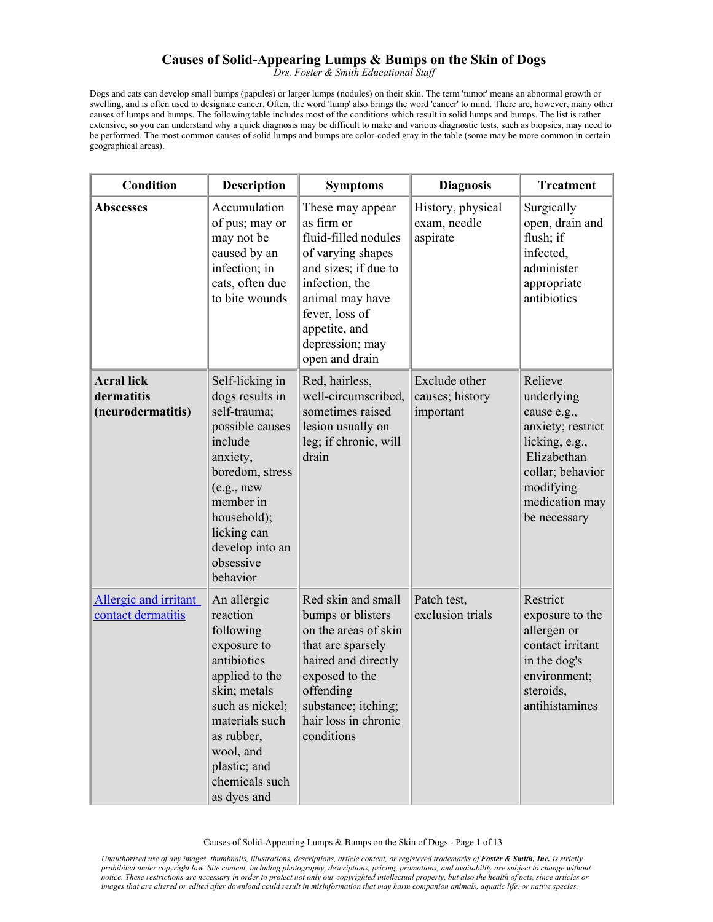## **Causes of Solid-Appearing Lumps & Bumps on the Skin of Dogs**

*Drs. Foster & Smith Educational Staff* 

Dogs and cats can develop small bumps (papules) or larger lumps (nodules) on their skin. The term 'tumor' means an abnormal growth or swelling, and is often used to designate cancer. Often, the word 'lump' also brings the word 'cancer' to mind. There are, however, many other causes of lumps and bumps. The following table includes most of the conditions which result in solid lumps and bumps. The list is rather extensive, so you can understand why a quick diagnosis may be difficult to make and various diagnostic tests, such as biopsies, may need to be performed. The most common causes of solid lumps and bumps are color-coded gray in the table (some may be more common in certain geographical areas).

| <b>Condition</b>                                     | <b>Description</b>                                                                                                                                                                                                    | <b>Symptoms</b>                                                                                                                                                                                                  | <b>Diagnosis</b>                              | <b>Treatment</b>                                                                                                                                              |
|------------------------------------------------------|-----------------------------------------------------------------------------------------------------------------------------------------------------------------------------------------------------------------------|------------------------------------------------------------------------------------------------------------------------------------------------------------------------------------------------------------------|-----------------------------------------------|---------------------------------------------------------------------------------------------------------------------------------------------------------------|
| <b>Abscesses</b>                                     | Accumulation<br>of pus; may or<br>may not be<br>caused by an<br>infection; in<br>cats, often due<br>to bite wounds                                                                                                    | These may appear<br>as firm or<br>fluid-filled nodules<br>of varying shapes<br>and sizes; if due to<br>infection, the<br>animal may have<br>fever, loss of<br>appetite, and<br>depression; may<br>open and drain | History, physical<br>exam, needle<br>aspirate | Surgically<br>open, drain and<br>flush; if<br>infected,<br>administer<br>appropriate<br>antibiotics                                                           |
| <b>Acral lick</b><br>dermatitis<br>(neurodermatitis) | Self-licking in<br>dogs results in<br>self-trauma;<br>possible causes<br>include<br>anxiety,<br>boredom, stress<br>(e.g., new)<br>member in<br>household);<br>licking can<br>develop into an<br>obsessive<br>behavior | Red, hairless,<br>well-circumscribed,<br>sometimes raised<br>lesion usually on<br>leg; if chronic, will<br>drain                                                                                                 | Exclude other<br>causes; history<br>important | Relieve<br>underlying<br>cause e.g.,<br>anxiety; restrict<br>licking, e.g.,<br>Elizabethan<br>collar; behavior<br>modifying<br>medication may<br>be necessary |
| Allergic and irritant<br>contact dermatitis          | An allergic<br>reaction<br>following<br>exposure to<br>antibiotics<br>applied to the<br>skin; metals<br>such as nickel;<br>materials such<br>as rubber,<br>wool, and<br>plastic; and<br>chemicals such<br>as dyes and | Red skin and small<br>bumps or blisters<br>on the areas of skin<br>that are sparsely<br>haired and directly<br>exposed to the<br>offending<br>substance; itching;<br>hair loss in chronic<br>conditions          | Patch test,<br>exclusion trials               | Restrict<br>exposure to the<br>allergen or<br>contact irritant<br>in the dog's<br>environment;<br>steroids,<br>antihistamines                                 |

Causes of Solid-Appearing Lumps & Bumps on the Skin of Dogs - Page 1 of 13

*Unauthorized use of any images, thumbnails, illustrations, descriptions, article content, or registered trademarks of Foster & Smith, Inc. is strictly prohibited under copyright law. Site content, including photography, descriptions, pricing, promotions, and availability are subject to change without notice. These restrictions are necessary in order to protect not only our copyrighted intellectual property, but also the health of pets, since articles or images that are altered or edited after download could result in misinformation that may harm companion animals, aquatic life, or native species.*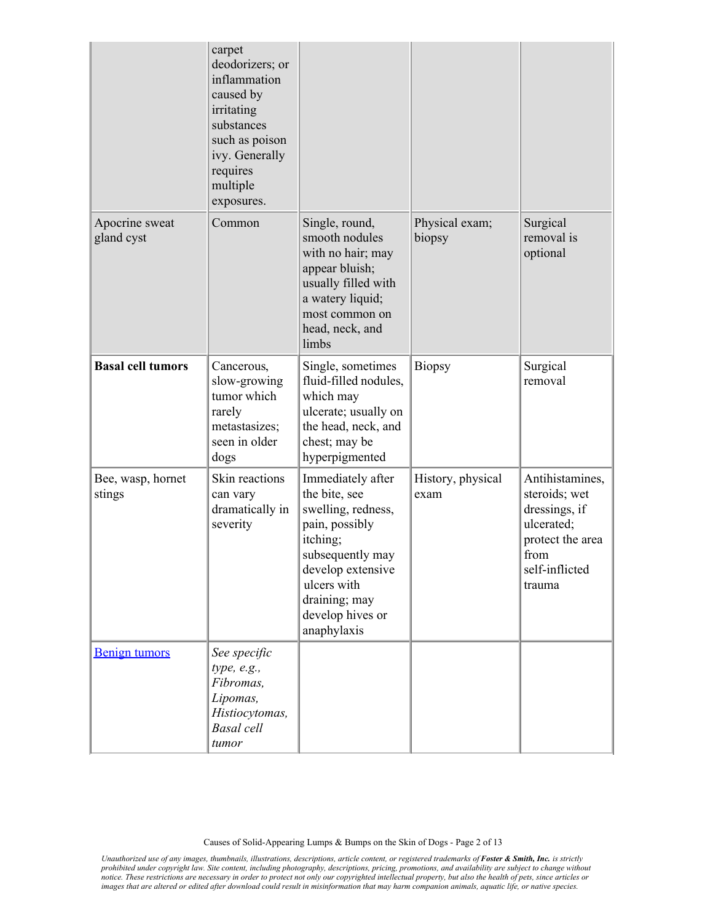|                              | carpet<br>deodorizers; or<br>inflammation<br>caused by<br>irritating<br>substances<br>such as poison<br>ivy. Generally<br>requires<br>multiple<br>exposures. |                                                                                                                                                                                                    |                           |                                                                                                                         |
|------------------------------|--------------------------------------------------------------------------------------------------------------------------------------------------------------|----------------------------------------------------------------------------------------------------------------------------------------------------------------------------------------------------|---------------------------|-------------------------------------------------------------------------------------------------------------------------|
| Apocrine sweat<br>gland cyst | Common                                                                                                                                                       | Single, round,<br>smooth nodules<br>with no hair; may<br>appear bluish;<br>usually filled with<br>a watery liquid;<br>most common on<br>head, neck, and<br>limbs                                   | Physical exam;<br>biopsy  | Surgical<br>removal is<br>optional                                                                                      |
| <b>Basal cell tumors</b>     | Cancerous,<br>slow-growing<br>tumor which<br>rarely<br>metastasizes;<br>seen in older<br>dogs                                                                | Single, sometimes<br>fluid-filled nodules,<br>which may<br>ulcerate; usually on<br>the head, neck, and<br>chest; may be<br>hyperpigmented                                                          | <b>Biopsy</b>             | Surgical<br>removal                                                                                                     |
| Bee, wasp, hornet<br>stings  | Skin reactions<br>can vary<br>dramatically in<br>severity                                                                                                    | Immediately after<br>the bite, see<br>swelling, redness,<br>pain, possibly<br>itching;<br>subsequently may<br>develop extensive<br>ulcers with<br>draining; may<br>develop hives or<br>anaphylaxis | History, physical<br>exam | Antihistamines,<br>steroids; wet<br>dressings, if<br>ulcerated;<br>protect the area<br>from<br>self-inflicted<br>trauma |
| <b>Benign tumors</b>         | See specific<br>type, e.g.,<br>Fibromas,<br>Lipomas,<br>Histiocytomas,<br><b>Basal</b> cell<br>tumor                                                         |                                                                                                                                                                                                    |                           |                                                                                                                         |

Causes of Solid-Appearing Lumps & Bumps on the Skin of Dogs - Page 2 of 13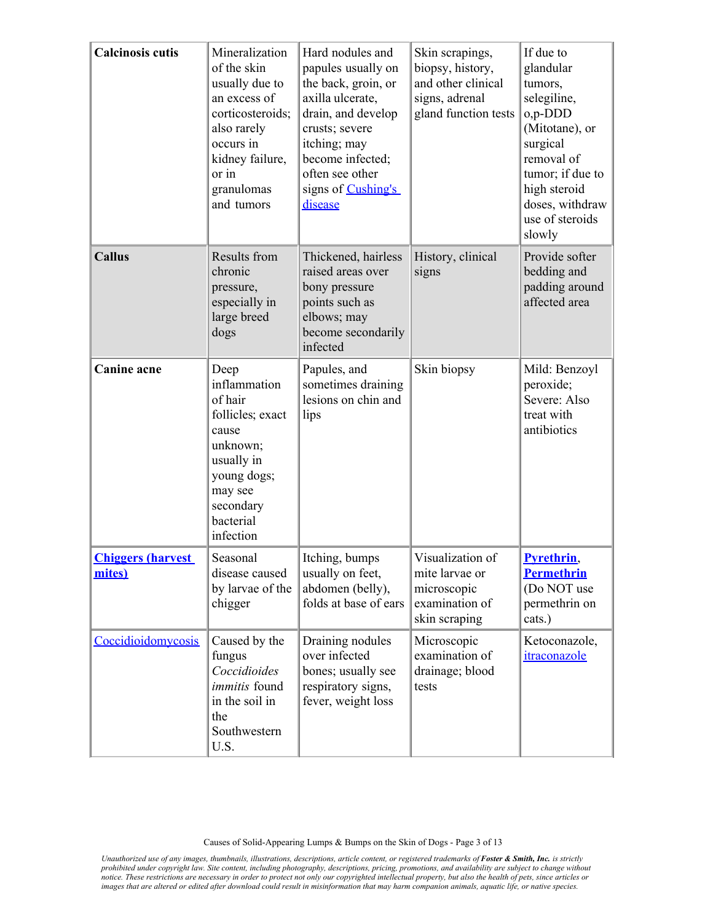| <b>Calcinosis cutis</b>             | Mineralization<br>of the skin<br>usually due to<br>an excess of<br>corticosteroids;<br>also rarely<br>occurs in<br>kidney failure,<br>or in<br>granulomas<br>and tumors | Hard nodules and<br>papules usually on<br>the back, groin, or<br>axilla ulcerate,<br>drain, and develop<br>crusts; severe<br>itching; may<br>become infected;<br>often see other<br>signs of Cushing's<br><i>disease</i> | Skin scrapings,<br>biopsy, history,<br>and other clinical<br>signs, adrenal<br>gland function tests | If due to<br>glandular<br>tumors,<br>selegiline,<br>0,p-DDD<br>(Mitotane), or<br>surgical<br>removal of<br>tumor; if due to<br>high steroid<br>doses, withdraw<br>use of steroids<br>slowly |
|-------------------------------------|-------------------------------------------------------------------------------------------------------------------------------------------------------------------------|--------------------------------------------------------------------------------------------------------------------------------------------------------------------------------------------------------------------------|-----------------------------------------------------------------------------------------------------|---------------------------------------------------------------------------------------------------------------------------------------------------------------------------------------------|
| <b>Callus</b>                       | Results from<br>chronic<br>pressure,<br>especially in<br>large breed<br>dogs                                                                                            | Thickened, hairless<br>raised areas over<br>bony pressure<br>points such as<br>elbows; may<br>become secondarily<br>infected                                                                                             | History, clinical<br>signs                                                                          | Provide softer<br>bedding and<br>padding around<br>affected area                                                                                                                            |
| <b>Canine</b> acne                  | Deep<br>inflammation<br>of hair<br>follicles; exact<br>cause<br>unknown;<br>usually in<br>young dogs;<br>may see<br>secondary<br>bacterial<br>infection                 | Papules, and<br>sometimes draining<br>lesions on chin and<br>lips                                                                                                                                                        | Skin biopsy                                                                                         | Mild: Benzoyl<br>peroxide;<br>Severe: Also<br>treat with<br>antibiotics                                                                                                                     |
| <b>Chiggers (harvest)</b><br>mites) | Seasonal<br>disease caused<br>by larvae of the<br>chigger                                                                                                               | Itching, bumps<br>usually on feet,<br>abdomen (belly),<br>folds at base of ears                                                                                                                                          | Visualization of<br>mite larvae or<br>microscopic<br>examination of<br>skin scraping                | <b>Pyrethrin</b> ,<br><b>Permethrin</b><br>(Do NOT use<br>permethrin on<br>cats.)                                                                                                           |
| Coccidioidomycosis                  | Caused by the<br>fungus<br>Coccidioides<br>immitis found<br>in the soil in<br>the<br>Southwestern<br>U.S.                                                               | Draining nodules<br>over infected<br>bones; usually see<br>respiratory signs,<br>fever, weight loss                                                                                                                      | Microscopic<br>examination of<br>drainage; blood<br>tests                                           | Ketoconazole,<br>itraconazole                                                                                                                                                               |

Causes of Solid-Appearing Lumps & Bumps on the Skin of Dogs - Page 3 of 13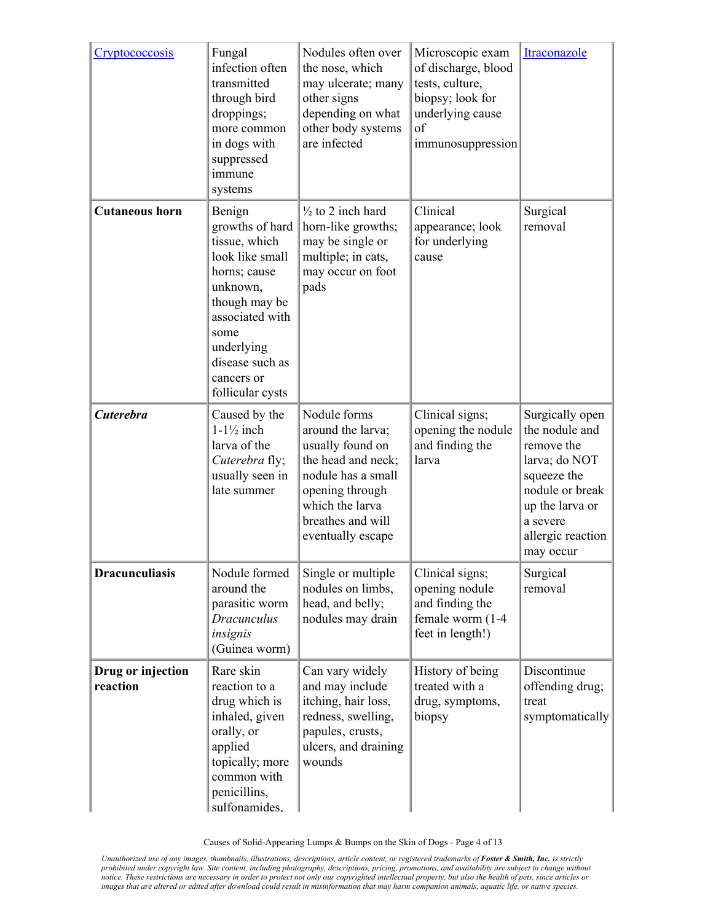| <b>Cryptococcosis</b>         | Fungal<br>infection often<br>transmitted<br>through bird<br>droppings;<br>more common<br>in dogs with<br>suppressed<br>immune<br>systems                                                                 | Nodules often over<br>the nose, which<br>may ulcerate; many<br>other signs<br>depending on what<br>other body systems<br>are infected                                             | Microscopic exam<br>of discharge, blood<br>tests, culture,<br>biopsy; look for<br>underlying cause<br>of<br>immunosuppression | Itraconazole                                                                                                                                                        |
|-------------------------------|----------------------------------------------------------------------------------------------------------------------------------------------------------------------------------------------------------|-----------------------------------------------------------------------------------------------------------------------------------------------------------------------------------|-------------------------------------------------------------------------------------------------------------------------------|---------------------------------------------------------------------------------------------------------------------------------------------------------------------|
| <b>Cutaneous horn</b>         | Benign<br>growths of hard<br>tissue, which<br>look like small<br>horns; cause<br>unknown,<br>though may be<br>associated with<br>some<br>underlying<br>disease such as<br>cancers or<br>follicular cysts | $\frac{1}{2}$ to 2 inch hard<br>horn-like growths;<br>may be single or<br>multiple; in cats,<br>may occur on foot<br>pads                                                         | Clinical<br>appearance; look<br>for underlying<br>cause                                                                       | Surgical<br>removal                                                                                                                                                 |
| <b>Cuterebra</b>              | Caused by the<br>$1-1\frac{1}{2}$ inch<br>larva of the<br>Cuterebra fly;<br>usually seen in<br>late summer                                                                                               | Nodule forms<br>around the larva;<br>usually found on<br>the head and neck;<br>nodule has a small<br>opening through<br>which the larva<br>breathes and will<br>eventually escape | Clinical signs;<br>opening the nodule<br>and finding the<br>larva                                                             | Surgically open<br>the nodule and<br>remove the<br>larva; do NOT<br>squeeze the<br>nodule or break<br>up the larva or<br>a severe<br>allergic reaction<br>may occur |
| <b>Dracunculiasis</b>         | Nodule formed<br>around the<br>parasitic worm<br>Dracunculus<br>insignis<br>(Guinea worm)                                                                                                                | Single or multiple<br>nodules on limbs,<br>head, and belly;<br>nodules may drain                                                                                                  | Clinical signs;<br>opening nodule<br>and finding the<br>female worm (1-4<br>feet in length!)                                  | Surgical<br>removal                                                                                                                                                 |
| Drug or injection<br>reaction | Rare skin<br>reaction to a<br>drug which is<br>inhaled, given<br>orally, or<br>applied<br>topically; more<br>common with<br>penicillins,<br>sulfonamides.                                                | Can vary widely<br>and may include<br>itching, hair loss,<br>redness, swelling,<br>papules, crusts,<br>ulcers, and draining<br>wounds                                             | History of being<br>treated with a<br>drug, symptoms,<br>biopsy                                                               | Discontinue<br>offending drug;<br>treat<br>symptomatically                                                                                                          |

Causes of Solid-Appearing Lumps & Bumps on the Skin of Dogs - Page 4 of 13

Unauthorized use of any images, thumbnails, illustrations, descriptions, article content, or registered trademarks of **Foster & Smith, Inc.** is strictly<br>prohibited under copyright law. Site content, including photography, *notice. These restrictions are necessary in order to protect not only our copyrighted intellectual property, but also the health of pets, since articles or images that are altered or edited after download could result in misinformation that may harm companion animals, aquatic life, or native species.*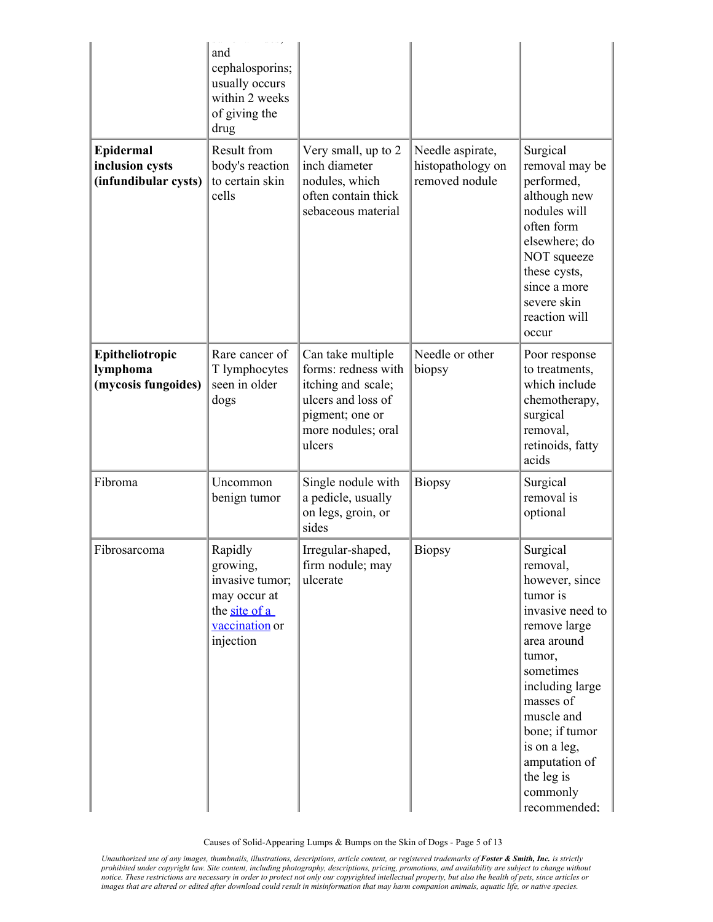|                                                      | and<br>cephalosporins;<br>usually occurs<br>within 2 weeks<br>of giving the<br>drug                    |                                                                                                                                         |                                                         |                                                                                                                                                                                                                                                                         |
|------------------------------------------------------|--------------------------------------------------------------------------------------------------------|-----------------------------------------------------------------------------------------------------------------------------------------|---------------------------------------------------------|-------------------------------------------------------------------------------------------------------------------------------------------------------------------------------------------------------------------------------------------------------------------------|
| Epidermal<br>inclusion cysts<br>(infundibular cysts) | Result from<br>body's reaction<br>to certain skin<br>cells                                             | Very small, up to 2<br>inch diameter<br>nodules, which<br>often contain thick<br>sebaceous material                                     | Needle aspirate,<br>histopathology on<br>removed nodule | Surgical<br>removal may be<br>performed,<br>although new<br>nodules will<br>often form<br>elsewhere; do<br>NOT squeeze<br>these cysts,<br>since a more<br>severe skin<br>reaction will<br>occur                                                                         |
| Epitheliotropic<br>lymphoma<br>(mycosis fungoides)   | Rare cancer of<br>T lymphocytes<br>seen in older<br>dogs                                               | Can take multiple<br>forms: redness with<br>itching and scale;<br>ulcers and loss of<br>pigment; one or<br>more nodules; oral<br>ulcers | Needle or other<br>biopsy                               | Poor response<br>to treatments,<br>which include<br>chemotherapy,<br>surgical<br>removal,<br>retinoids, fatty<br>acids                                                                                                                                                  |
| Fibroma                                              | Uncommon<br>benign tumor                                                                               | Single nodule with<br>a pedicle, usually<br>on legs, groin, or<br>sides                                                                 | <b>Biopsy</b>                                           | Surgical<br>removal is<br>optional                                                                                                                                                                                                                                      |
| Fibrosarcoma                                         | Rapidly<br>growing,<br>invasive tumor;<br>may occur at<br>the site of a<br>vaccination or<br>injection | Irregular-shaped,<br>firm nodule; may<br>ulcerate                                                                                       | Biopsy                                                  | Surgical<br>removal,<br>however, since<br>tumor is<br>invasive need to<br>remove large<br>area around<br>tumor,<br>sometimes<br>including large<br>masses of<br>muscle and<br>bone; if tumor<br>is on a leg,<br>amputation of<br>the leg is<br>commonly<br>recommended: |

Causes of Solid-Appearing Lumps & Bumps on the Skin of Dogs - Page 5 of 13

Unauthorized use of any images, thumbnails, illustrations, descriptions, article content, or registered trademarks of **Foster & Smith, Inc.** is strictly<br>prohibited under copyright law. Site content, including photography, *notice. These restrictions are necessary in order to protect not only our copyrighted intellectual property, but also the health of pets, since articles or images that are altered or edited after download could result in misinformation that may harm companion animals, aquatic life, or native species.*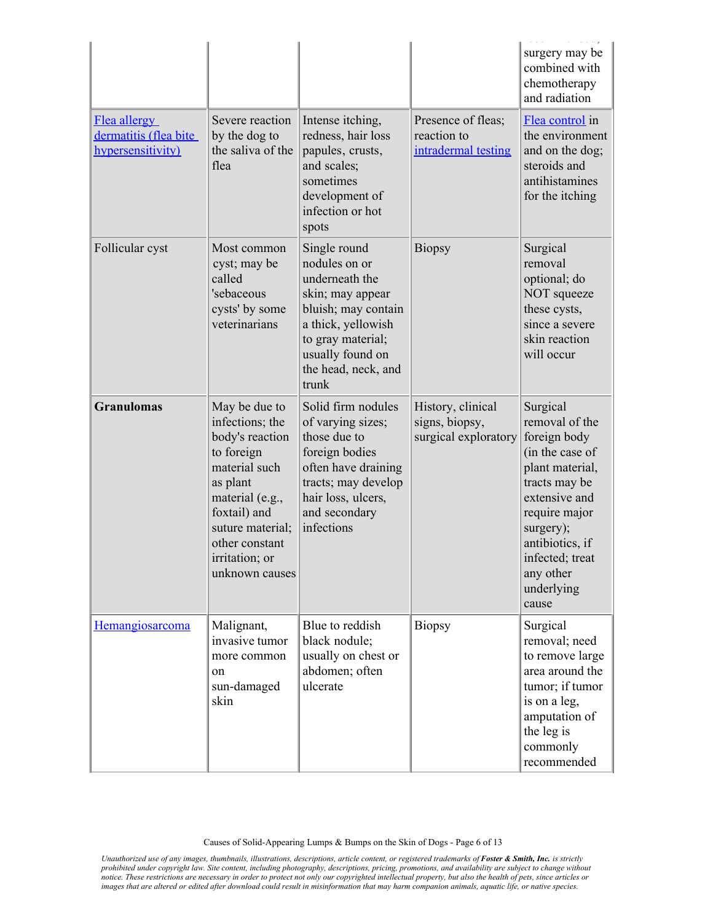|                                                            |                                                                                                                                                                                                             |                                                                                                                                                                                           |                                                             | surgery may be<br>combined with<br>chemotherapy<br>and radiation                                                                                                                                                           |
|------------------------------------------------------------|-------------------------------------------------------------------------------------------------------------------------------------------------------------------------------------------------------------|-------------------------------------------------------------------------------------------------------------------------------------------------------------------------------------------|-------------------------------------------------------------|----------------------------------------------------------------------------------------------------------------------------------------------------------------------------------------------------------------------------|
| Flea allergy<br>dermatitis (flea bite<br>hypersensitivity) | Severe reaction<br>by the dog to<br>the saliva of the<br>flea                                                                                                                                               | Intense itching,<br>redness, hair loss<br>papules, crusts,<br>and scales;<br>sometimes<br>development of<br>infection or hot<br>spots                                                     | Presence of fleas;<br>reaction to<br>intradermal testing    | Flea control in<br>the environment<br>and on the dog;<br>steroids and<br>antihistamines<br>for the itching                                                                                                                 |
| Follicular cyst                                            | Most common<br>cyst; may be<br>called<br>'sebaceous<br>cysts' by some<br>veterinarians                                                                                                                      | Single round<br>nodules on or<br>underneath the<br>skin; may appear<br>bluish; may contain<br>a thick, yellowish<br>to gray material;<br>usually found on<br>the head, neck, and<br>trunk | <b>Biopsy</b>                                               | Surgical<br>removal<br>optional; do<br>NOT squeeze<br>these cysts,<br>since a severe<br>skin reaction<br>will occur                                                                                                        |
| <b>Granulomas</b>                                          | May be due to<br>infections; the<br>body's reaction<br>to foreign<br>material such<br>as plant<br>material (e.g.,<br>foxtail) and<br>suture material;<br>other constant<br>irritation; or<br>unknown causes | Solid firm nodules<br>of varying sizes;<br>those due to<br>foreign bodies<br>often have draining<br>tracts; may develop<br>hair loss, ulcers,<br>and secondary<br>infections              | History, clinical<br>signs, biopsy,<br>surgical exploratory | Surgical<br>removal of the<br>foreign body<br>(in the case of<br>plant material,<br>tracts may be<br>extensive and<br>require major<br>surgery);<br>antibiotics, if<br>infected; treat<br>any other<br>underlying<br>cause |
| Hemangiosarcoma                                            | Malignant,<br>invasive tumor<br>more common<br>on<br>sun-damaged<br>skin                                                                                                                                    | Blue to reddish<br>black nodule;<br>usually on chest or<br>abdomen; often<br>ulcerate                                                                                                     | <b>Biopsy</b>                                               | Surgical<br>removal; need<br>to remove large<br>area around the<br>tumor; if tumor<br>is on a leg,<br>amputation of<br>the leg is<br>commonly<br>recommended                                                               |

Causes of Solid-Appearing Lumps & Bumps on the Skin of Dogs - Page 6 of 13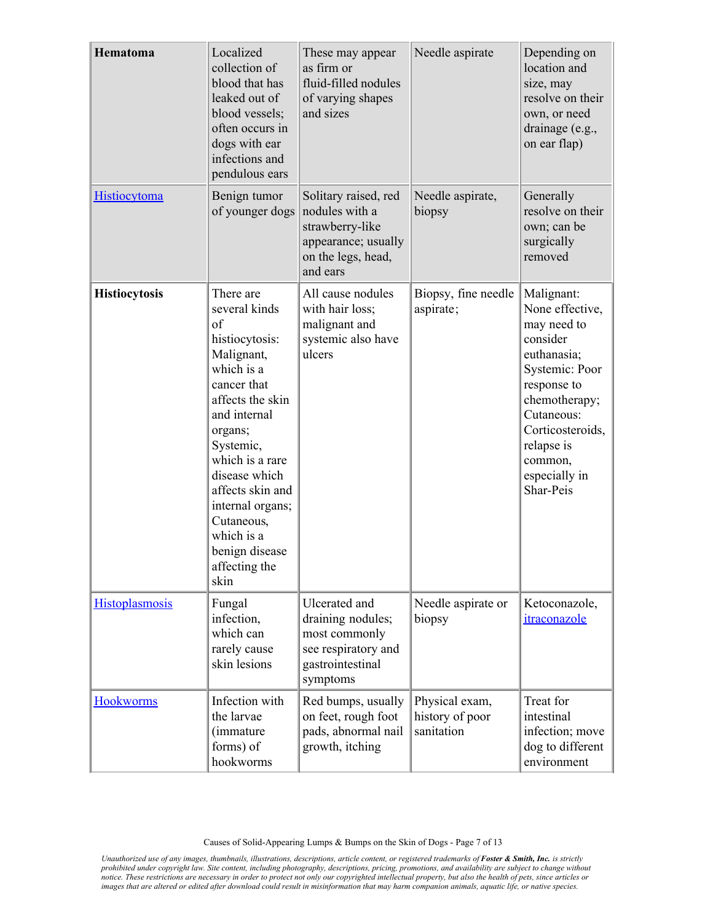| Hematoma              | Localized<br>collection of<br>blood that has<br>leaked out of<br>blood vessels;<br>often occurs in<br>dogs with ear<br>infections and<br>pendulous ears                                                                                                                                                      | These may appear<br>as firm or<br>fluid-filled nodules<br>of varying shapes<br>and sizes                           | Needle aspirate                                 | Depending on<br>location and<br>size, may<br>resolve on their<br>own, or need<br>drainage (e.g.,<br>on ear flap)                                                                                                   |
|-----------------------|--------------------------------------------------------------------------------------------------------------------------------------------------------------------------------------------------------------------------------------------------------------------------------------------------------------|--------------------------------------------------------------------------------------------------------------------|-------------------------------------------------|--------------------------------------------------------------------------------------------------------------------------------------------------------------------------------------------------------------------|
| <b>Histiocytoma</b>   | Benign tumor<br>of younger dogs                                                                                                                                                                                                                                                                              | Solitary raised, red<br>nodules with a<br>strawberry-like<br>appearance; usually<br>on the legs, head,<br>and ears | Needle aspirate,<br>biopsy                      | Generally<br>resolve on their<br>own; can be<br>surgically<br>removed                                                                                                                                              |
| <b>Histiocytosis</b>  | There are<br>several kinds<br>of<br>histiocytosis:<br>Malignant,<br>which is a<br>cancer that<br>affects the skin<br>and internal<br>organs;<br>Systemic,<br>which is a rare<br>disease which<br>affects skin and<br>internal organs;<br>Cutaneous,<br>which is a<br>benign disease<br>affecting the<br>skin | All cause nodules<br>with hair loss;<br>malignant and<br>systemic also have<br>ulcers                              | Biopsy, fine needle<br>aspirate;                | Malignant:<br>None effective,<br>may need to<br>consider<br>euthanasia;<br>Systemic: Poor<br>response to<br>chemotherapy;<br>Cutaneous:<br>Corticosteroids,<br>relapse is<br>common,<br>especially in<br>Shar-Peis |
| <b>Histoplasmosis</b> | Fungal<br>infection,<br>which can<br>rarely cause<br>skin lesions                                                                                                                                                                                                                                            | Ulcerated and<br>draining nodules;<br>most commonly<br>see respiratory and<br>gastrointestinal<br>symptoms         | Needle aspirate or<br>biopsy                    | Ketoconazole,<br>itraconazole                                                                                                                                                                                      |
| <b>Hookworms</b>      | Infection with<br>the larvae<br><i>(immature)</i><br>forms) of<br>hookworms                                                                                                                                                                                                                                  | Red bumps, usually<br>on feet, rough foot<br>pads, abnormal nail<br>growth, itching                                | Physical exam,<br>history of poor<br>sanitation | Treat for<br>intestinal<br>infection; move<br>dog to different<br>environment                                                                                                                                      |

Causes of Solid-Appearing Lumps & Bumps on the Skin of Dogs - Page 7 of 13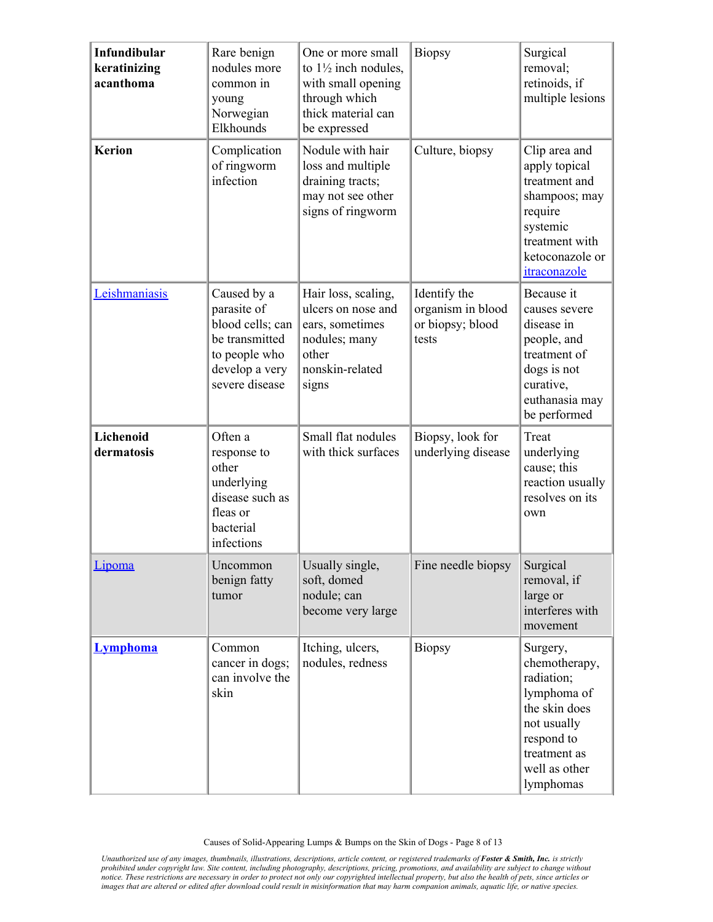| Infundibular<br>keratinizing<br>acanthoma | Rare benign<br>nodules more<br>common in<br>young<br>Norwegian<br>Elkhounds                                           | One or more small<br>to $1\frac{1}{2}$ inch nodules,<br>with small opening<br>through which<br>thick material can<br>be expressed | <b>Biopsy</b>                                                  | Surgical<br>removal;<br>retinoids, if<br>multiple lesions                                                                                          |
|-------------------------------------------|-----------------------------------------------------------------------------------------------------------------------|-----------------------------------------------------------------------------------------------------------------------------------|----------------------------------------------------------------|----------------------------------------------------------------------------------------------------------------------------------------------------|
| <b>Kerion</b>                             | Complication<br>of ringworm<br>infection                                                                              | Nodule with hair<br>loss and multiple<br>draining tracts;<br>may not see other<br>signs of ringworm                               | Culture, biopsy                                                | Clip area and<br>apply topical<br>treatment and<br>shampoos; may<br>require<br>systemic<br>treatment with<br>ketoconazole or<br>itraconazole       |
| Leishmaniasis                             | Caused by a<br>parasite of<br>blood cells; can<br>be transmitted<br>to people who<br>develop a very<br>severe disease | Hair loss, scaling,<br>ulcers on nose and<br>ears, sometimes<br>nodules; many<br>other<br>nonskin-related<br>signs                | Identify the<br>organism in blood<br>or biopsy; blood<br>tests | Because it<br>causes severe<br>disease in<br>people, and<br>treatment of<br>dogs is not<br>curative,<br>euthanasia may<br>be performed             |
| Lichenoid<br>dermatosis                   | Often a<br>response to<br>other<br>underlying<br>disease such as<br>fleas or<br>bacterial<br>infections               | Small flat nodules<br>with thick surfaces                                                                                         | Biopsy, look for<br>underlying disease                         | Treat<br>underlying<br>cause; this<br>reaction usually<br>resolves on its<br>own                                                                   |
| Lipoma                                    | Uncommon<br>benign fatty<br>tumor                                                                                     | Usually single,<br>soft, domed<br>nodule; can<br>become very large                                                                | Fine needle biopsy                                             | Surgical<br>removal, if<br>large or<br>interferes with<br>movement                                                                                 |
| <b>Lymphoma</b>                           | Common<br>cancer in dogs;<br>can involve the<br>skin                                                                  | Itching, ulcers,<br>nodules, redness                                                                                              | <b>Biopsy</b>                                                  | Surgery,<br>chemotherapy,<br>radiation;<br>lymphoma of<br>the skin does<br>not usually<br>respond to<br>treatment as<br>well as other<br>lymphomas |

Causes of Solid-Appearing Lumps & Bumps on the Skin of Dogs - Page 8 of 13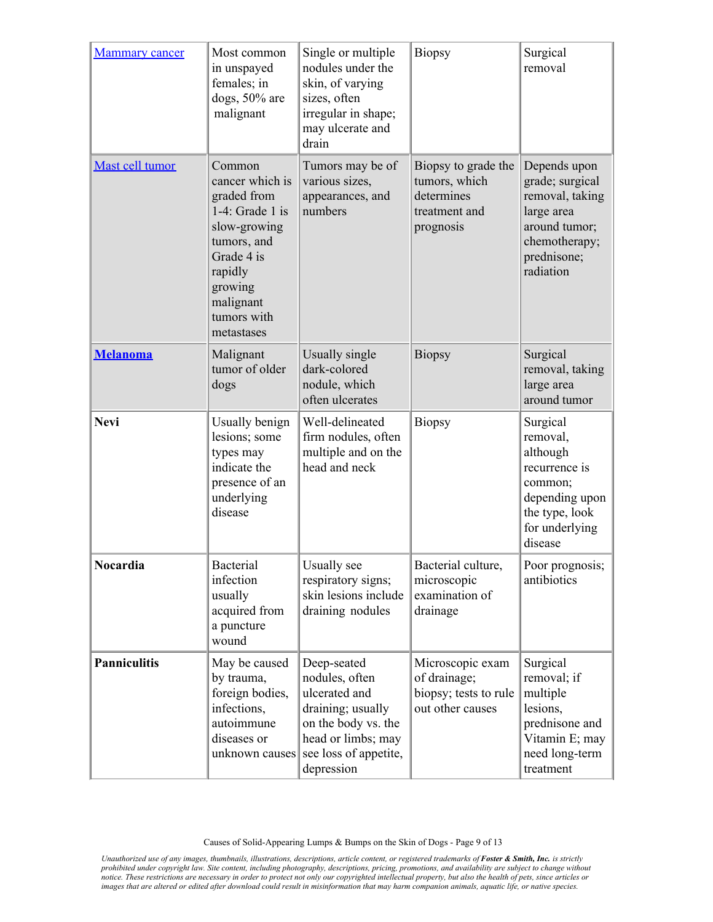| <b>Mammary</b> cancer | Most common<br>in unspayed<br>females; in<br>dogs, 50% are<br>malignant                                                                                                     | Single or multiple<br>nodules under the<br>skin, of varying<br>sizes, often<br>irregular in shape;<br>may ulcerate and<br>drain                         | <b>Biopsy</b>                                                                    | Surgical<br>removal                                                                                                            |
|-----------------------|-----------------------------------------------------------------------------------------------------------------------------------------------------------------------------|---------------------------------------------------------------------------------------------------------------------------------------------------------|----------------------------------------------------------------------------------|--------------------------------------------------------------------------------------------------------------------------------|
| Mast cell tumor       | Common<br>cancer which is<br>graded from<br>$1-4$ : Grade 1 is<br>slow-growing<br>tumors, and<br>Grade 4 is<br>rapidly<br>growing<br>malignant<br>tumors with<br>metastases | Tumors may be of<br>various sizes,<br>appearances, and<br>numbers                                                                                       | Biopsy to grade the<br>tumors, which<br>determines<br>treatment and<br>prognosis | Depends upon<br>grade; surgical<br>removal, taking<br>large area<br>around tumor;<br>chemotherapy;<br>prednisone;<br>radiation |
| <b>Melanoma</b>       | Malignant<br>tumor of older<br>dogs                                                                                                                                         | Usually single<br>dark-colored<br>nodule, which<br>often ulcerates                                                                                      | <b>Biopsy</b>                                                                    | Surgical<br>removal, taking<br>large area<br>around tumor                                                                      |
| <b>Nevi</b>           | Usually benign<br>lesions; some<br>types may<br>indicate the<br>presence of an<br>underlying<br>disease                                                                     | Well-delineated<br>firm nodules, often<br>multiple and on the<br>head and neck                                                                          | <b>Biopsy</b>                                                                    | Surgical<br>removal,<br>although<br>recurrence is<br>common;<br>depending upon<br>the type, look<br>for underlying<br>disease  |
| Nocardia              | <b>Bacterial</b><br>infection<br>usually<br>acquired from<br>a puncture<br>wound                                                                                            | Usually see<br>respiratory signs;<br>skin lesions include<br>draining nodules                                                                           | Bacterial culture,<br>microscopic<br>examination of<br>drainage                  | Poor prognosis;<br>antibiotics                                                                                                 |
| <b>Panniculitis</b>   | May be caused<br>by trauma,<br>foreign bodies,<br>infections,<br>autoimmune<br>diseases or<br>unknown causes                                                                | Deep-seated<br>nodules, often<br>ulcerated and<br>draining; usually<br>on the body vs. the<br>head or limbs; may<br>see loss of appetite,<br>depression | Microscopic exam<br>of drainage;<br>biopsy; tests to rule<br>out other causes    | Surgical<br>removal; if<br>multiple<br>lesions,<br>prednisone and<br>Vitamin E; may<br>need long-term<br>treatment             |

Causes of Solid-Appearing Lumps & Bumps on the Skin of Dogs - Page 9 of 13

Unauthorized use of any images, thumbnails, illustrations, descriptions, article content, or registered trademarks of **Foster & Smith, Inc.** is strictly<br>prohibited under copyright law. Site content, including photography, *notice. These restrictions are necessary in order to protect not only our copyrighted intellectual property, but also the health of pets, since articles or images that are altered or edited after download could result in misinformation that may harm companion animals, aquatic life, or native species.*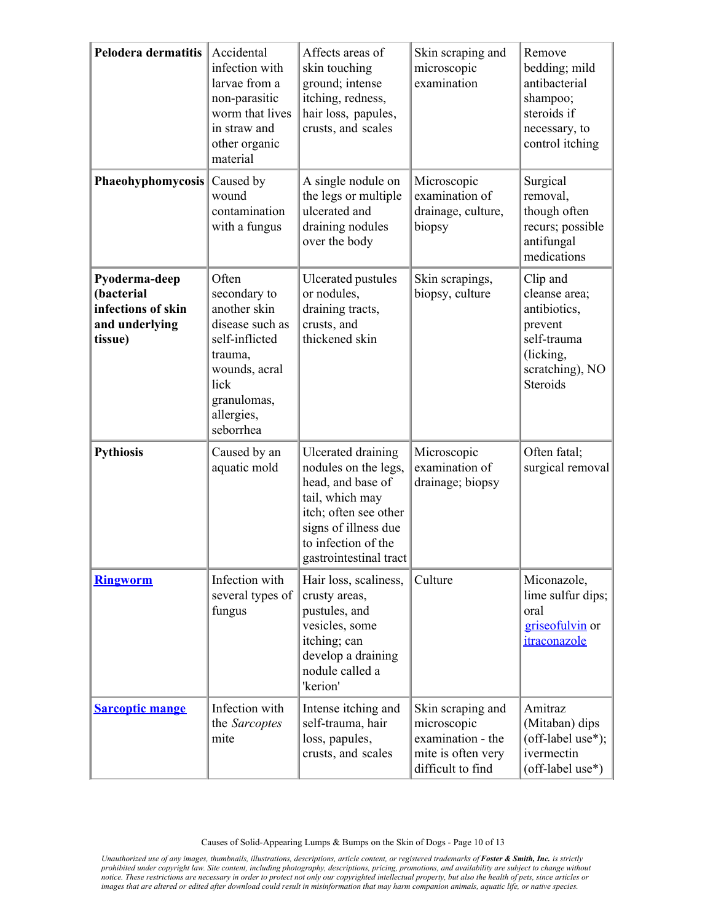| <b>Pelodera dermatitis</b>                                                     | Accidental<br>infection with<br>larvae from a<br>non-parasitic<br>worm that lives<br>in straw and<br>other organic<br>material                           | Affects areas of<br>skin touching<br>ground; intense<br>itching, redness,<br>hair loss, papules,<br>crusts, and scales                                                                      | Skin scraping and<br>microscopic<br>examination                                                  | Remove<br>bedding; mild<br>antibacterial<br>shampoo;<br>steroids if<br>necessary, to<br>control itching                |
|--------------------------------------------------------------------------------|----------------------------------------------------------------------------------------------------------------------------------------------------------|---------------------------------------------------------------------------------------------------------------------------------------------------------------------------------------------|--------------------------------------------------------------------------------------------------|------------------------------------------------------------------------------------------------------------------------|
| <b>Phaeohyphomycosis</b>                                                       | Caused by<br>wound<br>contamination<br>with a fungus                                                                                                     | A single nodule on<br>the legs or multiple<br>ulcerated and<br>draining nodules<br>over the body                                                                                            | Microscopic<br>examination of<br>drainage, culture,<br>biopsy                                    | Surgical<br>removal,<br>though often<br>recurs; possible<br>antifungal<br>medications                                  |
| Pyoderma-deep<br>(bacterial<br>infections of skin<br>and underlying<br>tissue) | Often<br>secondary to<br>another skin<br>disease such as<br>self-inflicted<br>trauma,<br>wounds, acral<br>lick<br>granulomas,<br>allergies,<br>seborrhea | <b>Ulcerated pustules</b><br>or nodules,<br>draining tracts,<br>crusts, and<br>thickened skin                                                                                               | Skin scrapings,<br>biopsy, culture                                                               | Clip and<br>cleanse area;<br>antibiotics,<br>prevent<br>self-trauma<br>(licking,<br>scratching), NO<br><b>Steroids</b> |
| <b>Pythiosis</b>                                                               | Caused by an<br>aquatic mold                                                                                                                             | <b>Ulcerated draining</b><br>nodules on the legs,<br>head, and base of<br>tail, which may<br>itch; often see other<br>signs of illness due<br>to infection of the<br>gastrointestinal tract | Microscopic<br>examination of<br>drainage; biopsy                                                | Often fatal;<br>surgical removal                                                                                       |
| <b>Ringworm</b>                                                                | Infection with<br>several types of<br>fungus                                                                                                             | Hair loss, scaliness,<br>crusty areas,<br>pustules, and<br>vesicles, some<br>itching; can<br>develop a draining<br>nodule called a<br>'kerion'                                              | Culture                                                                                          | Miconazole,<br>lime sulfur dips;<br>oral<br>griseofulvin or<br>itraconazole                                            |
| <b>Sarcoptic mange</b>                                                         | Infection with<br>the Sarcoptes<br>mite                                                                                                                  | Intense itching and<br>self-trauma, hair<br>loss, papules,<br>crusts, and scales                                                                                                            | Skin scraping and<br>microscopic<br>examination - the<br>mite is often very<br>difficult to find | Amitraz<br>(Mitaban) dips<br>(off-label use*);<br>ivermectin<br>(off-label use*)                                       |

Causes of Solid-Appearing Lumps & Bumps on the Skin of Dogs - Page 10 of 13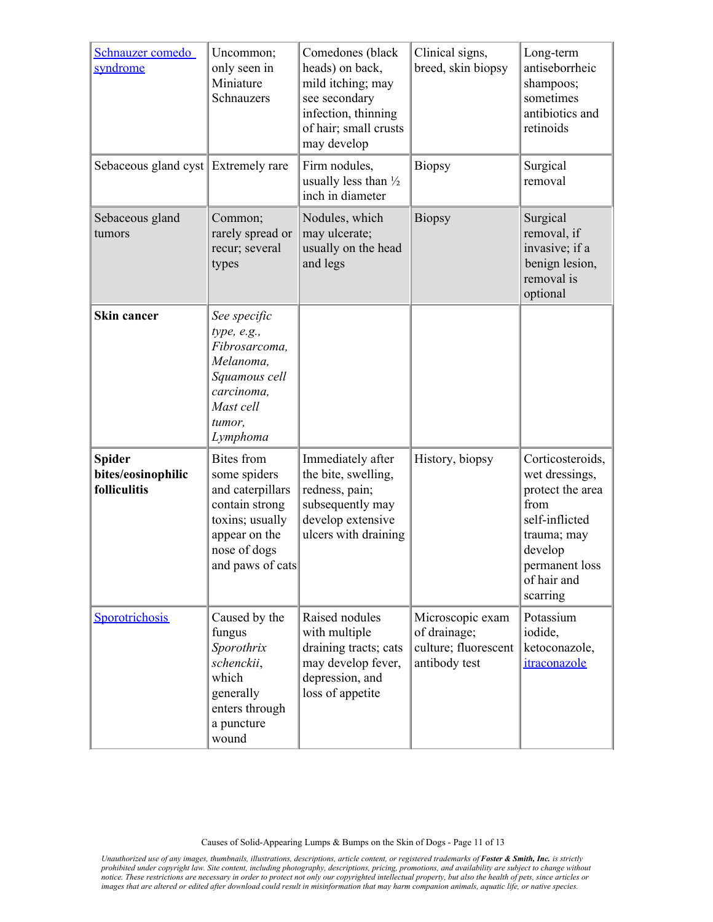| Schnauzer comedo<br>syndrome                        | Uncommon;<br>only seen in<br>Miniature<br>Schnauzers                                                                                            | Comedones (black<br>heads) on back,<br>mild itching; may<br>see secondary<br>infection, thinning<br>of hair; small crusts<br>may develop | Clinical signs,<br>breed, skin biopsy                                     | Long-term<br>antiseborrheic<br>shampoos;<br>sometimes<br>antibiotics and<br>retinoids                                                                   |
|-----------------------------------------------------|-------------------------------------------------------------------------------------------------------------------------------------------------|------------------------------------------------------------------------------------------------------------------------------------------|---------------------------------------------------------------------------|---------------------------------------------------------------------------------------------------------------------------------------------------------|
| Sebaceous gland cyst Extremely rare                 |                                                                                                                                                 | Firm nodules,<br>usually less than $\frac{1}{2}$<br>inch in diameter                                                                     | <b>Biopsy</b>                                                             | Surgical<br>removal                                                                                                                                     |
| Sebaceous gland<br>tumors                           | Common;<br>rarely spread or<br>recur; several<br>types                                                                                          | Nodules, which<br>may ulcerate;<br>usually on the head<br>and legs                                                                       | <b>Biopsy</b>                                                             | Surgical<br>removal, if<br>invasive; if a<br>benign lesion,<br>removal is<br>optional                                                                   |
| <b>Skin cancer</b>                                  | See specific<br>type, e.g.,<br>Fibrosarcoma,<br>Melanoma,<br>Squamous cell<br>carcinoma,<br>Mast cell<br>tumor,<br>Lymphoma                     |                                                                                                                                          |                                                                           |                                                                                                                                                         |
| <b>Spider</b><br>bites/eosinophilic<br>folliculitis | <b>Bites</b> from<br>some spiders<br>and caterpillars<br>contain strong<br>toxins; usually<br>appear on the<br>nose of dogs<br>and paws of cats | Immediately after<br>the bite, swelling,<br>redness, pain;<br>subsequently may<br>develop extensive<br>ulcers with draining              | History, biopsy                                                           | Corticosteroids,<br>wet dressings,<br>protect the area<br>from<br>self-inflicted<br>trauma; may<br>develop<br>permanent loss<br>of hair and<br>scarring |
| Sporotrichosis                                      | Caused by the<br>fungus<br>Sporothrix<br>schenckii,<br>which<br>generally<br>enters through<br>a puncture<br>wound                              | Raised nodules<br>with multiple<br>draining tracts; cats<br>may develop fever,<br>depression, and<br>loss of appetite                    | Microscopic exam<br>of drainage;<br>culture; fluorescent<br>antibody test | Potassium<br>iodide,<br>ketoconazole,<br>itraconazole                                                                                                   |

Causes of Solid-Appearing Lumps & Bumps on the Skin of Dogs - Page 11 of 13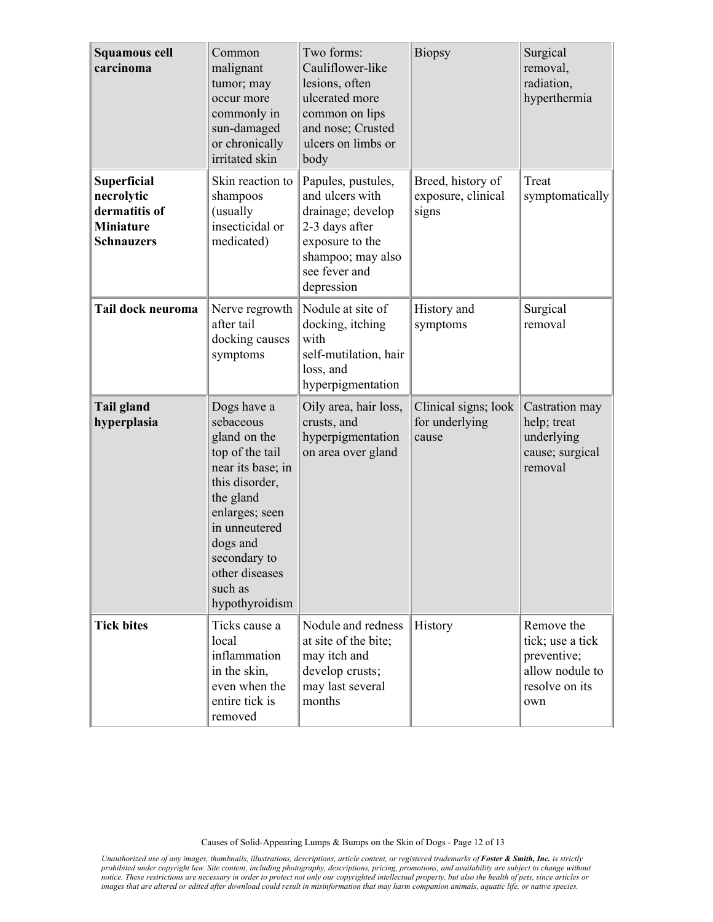| <b>Squamous cell</b><br>carcinoma                                                          | Common<br>malignant<br>tumor; may<br>occur more<br>commonly in<br>sun-damaged<br>or chronically<br>irritated skin                                                                                                             | Two forms:<br>Cauliflower-like<br>lesions, often<br>ulcerated more<br>common on lips<br>and nose; Crusted<br>ulcers on limbs or<br>body             | <b>Biopsy</b>                                    | Surgical<br>removal,<br>radiation,<br>hyperthermia                                        |
|--------------------------------------------------------------------------------------------|-------------------------------------------------------------------------------------------------------------------------------------------------------------------------------------------------------------------------------|-----------------------------------------------------------------------------------------------------------------------------------------------------|--------------------------------------------------|-------------------------------------------------------------------------------------------|
| <b>Superficial</b><br>necrolytic<br>dermatitis of<br><b>Miniature</b><br><b>Schnauzers</b> | Skin reaction to<br>shampoos<br>(usually<br>insecticidal or<br>medicated)                                                                                                                                                     | Papules, pustules,<br>and ulcers with<br>drainage; develop<br>2-3 days after<br>exposure to the<br>shampoo; may also<br>see fever and<br>depression | Breed, history of<br>exposure, clinical<br>signs | Treat<br>symptomatically                                                                  |
| Tail dock neuroma                                                                          | Nerve regrowth<br>after tail<br>docking causes<br>symptoms                                                                                                                                                                    | Nodule at site of<br>docking, itching<br>with<br>self-mutilation, hair<br>loss, and<br>hyperpigmentation                                            | History and<br>symptoms                          | Surgical<br>removal                                                                       |
| <b>Tail gland</b><br>hyperplasia                                                           | Dogs have a<br>sebaceous<br>gland on the<br>top of the tail<br>near its base; in<br>this disorder,<br>the gland<br>enlarges; seen<br>in unneutered<br>dogs and<br>secondary to<br>other diseases<br>such as<br>hypothyroidism | Oily area, hair loss,<br>crusts, and<br>hyperpigmentation<br>on area over gland                                                                     | Clinical signs; look<br>for underlying<br>cause  | Castration may<br>help; treat<br>underlying<br>cause; surgical<br>removal                 |
| <b>Tick bites</b>                                                                          | Ticks cause a<br>local<br>inflammation<br>in the skin,<br>even when the<br>entire tick is<br>removed                                                                                                                          | Nodule and redness<br>at site of the bite;<br>may itch and<br>develop crusts;<br>may last several<br>months                                         | History                                          | Remove the<br>tick; use a tick<br>preventive;<br>allow nodule to<br>resolve on its<br>own |

Causes of Solid-Appearing Lumps & Bumps on the Skin of Dogs - Page 12 of 13